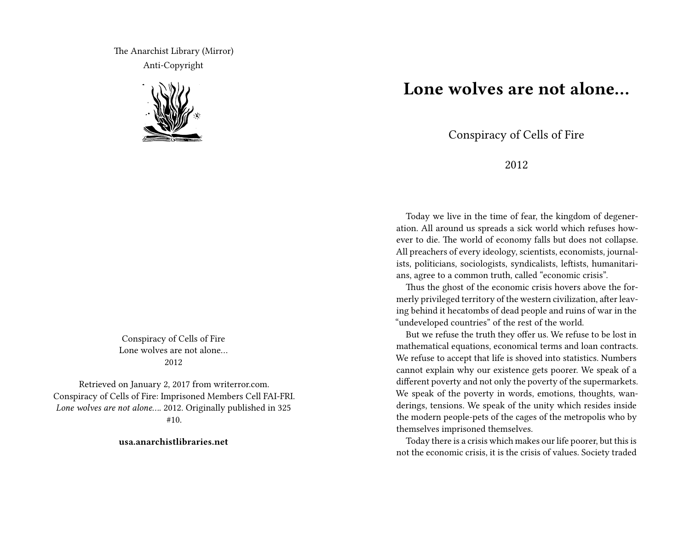The Anarchist Library (Mirror) Anti-Copyright



Conspiracy of Cells of Fire Lone wolves are not alone 2012

Retrieved on January 2, 2017 from writerror.com. Conspiracy of Cells of Fire: Imprisoned Members Cell FAI-FRI. *Lone wolves are not alone…*. 2012. Originally published in 325 #10.

**usa.anarchistlibraries.net**

## **Lone wolves are not alone…**

Conspiracy of Cells of Fire

2012

Today we live in the time of fear, the kingdom of degeneration. All around us spreads a sick world which refuses however to die. The world of economy falls but does not collapse. All preachers of every ideology, scientists, economists, journalists, politicians, sociologists, syndicalists, leftists, humanitarians, agree to a common truth, called "economic crisis".

Thus the ghost of the economic crisis hovers above the formerly privileged territory of the western civilization, after leaving behind it hecatombs of dead people and ruins of war in the "undeveloped countries" of the rest of the world.

But we refuse the truth they offer us. We refuse to be lost in mathematical equations, economical terms and loan contracts. We refuse to accept that life is shoved into statistics. Numbers cannot explain why our existence gets poorer. We speak of a different poverty and not only the poverty of the supermarkets. We speak of the poverty in words, emotions, thoughts, wanderings, tensions. We speak of the unity which resides inside the modern people-pets of the cages of the metropolis who by themselves imprisoned themselves.

Today there is a crisis which makes our life poorer, but this is not the economic crisis, it is the crisis of values. Society traded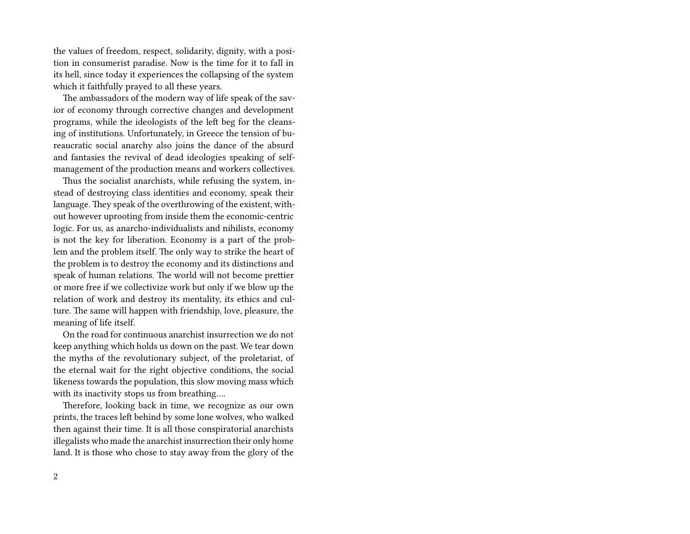the values of freedom, respect, solidarity, dignity, with a position in consumerist paradise. Now is the time for it to fall in its hell, since today it experiences the collapsing of the system which it faithfully prayed to all these years.

The ambassadors of the modern way of life speak of the savior of economy through corrective changes and development programs, while the ideologists of the left beg for the cleansing of institutions. Unfortunately, in Greece the tension of bureaucratic social anarchy also joins the dance of the absurd and fantasies the revival of dead ideologies speaking of selfmanagement of the production means and workers collectives.

Thus the socialist anarchists, while refusing the system, instead of destroying class identities and economy, speak their language. They speak of the overthrowing of the existent, without however uprooting from inside them the economic-centric logic. For us, as anarcho-individualists and nihilists, economy is not the key for liberation. Economy is a part of the problem and the problem itself. The only way to strike the heart of the problem is to destroy the economy and its distinctions and speak of human relations. The world will not become prettier or more free if we collectivize work but only if we blow up the relation of work and destroy its mentality, its ethics and culture. The same will happen with friendship, love, pleasure, the meaning of life itself.

On the road for continuous anarchist insurrection we do not keep anything which holds us down on the past. We tear down the myths of the revolutionary subject, of the proletariat, of the eternal wait for the right objective conditions, the social likeness towards the population, this slow moving mass which with its inactivity stops us from breathing….

Therefore, looking back in time, we recognize as our own prints, the traces left behind by some lone wolves, who walked then against their time. It is all those conspiratorial anarchists illegalists who made the anarchist insurrection their only home land. It is those who chose to stay away from the glory of the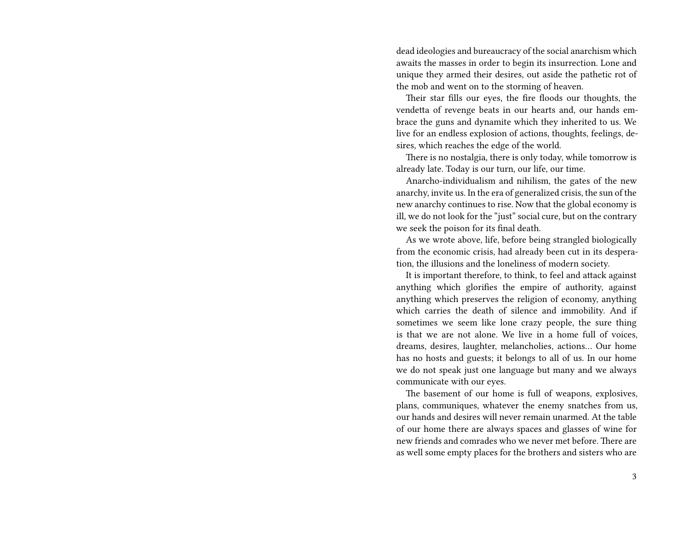dead ideologies and bureaucracy of the social anarchism which awaits the masses in order to begin its insurrection. Lone and unique they armed their desires, out aside the pathetic rot of the mob and went on to the storming of heaven.

Their star fills our eyes, the fire floods our thoughts, the vendetta of revenge beats in our hearts and, our hands embrace the guns and dynamite which they inherited to us. We live for an endless explosion of actions, thoughts, feelings, desires, which reaches the edge of the world.

There is no nostalgia, there is only today, while tomorrow is already late. Today is our turn, our life, our time.

Anarcho-individualism and nihilism, the gates of the new anarchy, invite us. In the era of generalized crisis, the sun of the new anarchy continues to rise. Now that the global economy is ill, we do not look for the "just" social cure, but on the contrary we seek the poison for its final death.

As we wrote above, life, before being strangled biologically from the economic crisis, had already been cut in its desperation, the illusions and the loneliness of modern society.

It is important therefore, to think, to feel and attack against anything which glorifies the empire of authority, against anything which preserves the religion of economy, anything which carries the death of silence and immobility. And if sometimes we seem like lone crazy people, the sure thing is that we are not alone. We live in a home full of voices, dreams, desires, laughter, melancholies, actions… Our home has no hosts and guests; it belongs to all of us. In our home we do not speak just one language but many and we always communicate with our eyes.

The basement of our home is full of weapons, explosives, plans, communiques, whatever the enemy snatches from us, our hands and desires will never remain unarmed. At the table of our home there are always spaces and glasses of wine for new friends and comrades who we never met before. There are as well some empty places for the brothers and sisters who are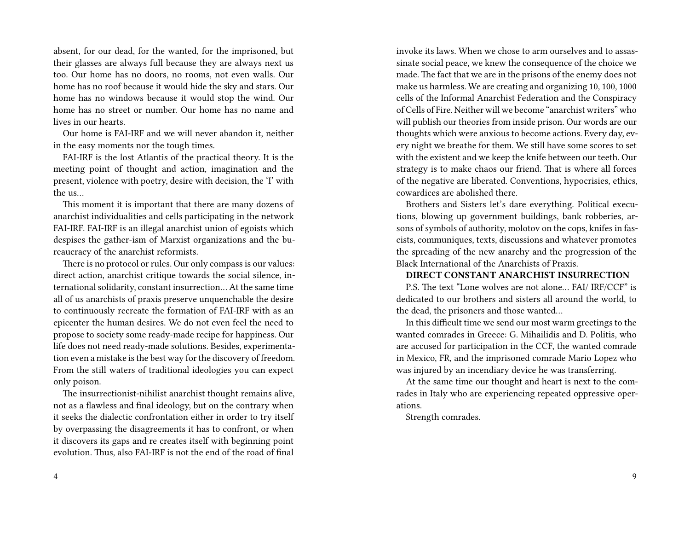absent, for our dead, for the wanted, for the imprisoned, but their glasses are always full because they are always next us too. Our home has no doors, no rooms, not even walls. Our home has no roof because it would hide the sky and stars. Our home has no windows because it would stop the wind. Our home has no street or number. Our home has no name and lives in our hearts.

Our home is FAI-IRF and we will never abandon it, neither in the easy moments nor the tough times.

FAI-IRF is the lost Atlantis of the practical theory. It is the meeting point of thought and action, imagination and the present, violence with poetry, desire with decision, the 'I' with the us…

This moment it is important that there are many dozens of anarchist individualities and cells participating in the network FAI-IRF. FAI-IRF is an illegal anarchist union of egoists which despises the gather-ism of Marxist organizations and the bureaucracy of the anarchist reformists.

There is no protocol or rules. Our only compass is our values: direct action, anarchist critique towards the social silence, international solidarity, constant insurrection… At the same time all of us anarchists of praxis preserve unquenchable the desire to continuously recreate the formation of FAI-IRF with as an epicenter the human desires. We do not even feel the need to propose to society some ready-made recipe for happiness. Our life does not need ready-made solutions. Besides, experimentation even a mistake is the best way for the discovery of freedom. From the still waters of traditional ideologies you can expect only poison.

The insurrectionist-nihilist anarchist thought remains alive, not as a flawless and final ideology, but on the contrary when it seeks the dialectic confrontation either in order to try itself by overpassing the disagreements it has to confront, or when it discovers its gaps and re creates itself with beginning point evolution. Thus, also FAI-IRF is not the end of the road of final

invoke its laws. When we chose to arm ourselves and to assassinate social peace, we knew the consequence of the choice we made. The fact that we are in the prisons of the enemy does not make us harmless. We are creating and organizing 10, 100, 1000 cells of the Informal Anarchist Federation and the Conspiracy of Cells of Fire. Neither will we become "anarchist writers" who will publish our theories from inside prison. Our words are our thoughts which were anxious to become actions. Every day, every night we breathe for them. We still have some scores to set with the existent and we keep the knife between our teeth. Our strategy is to make chaos our friend. That is where all forces of the negative are liberated. Conventions, hypocrisies, ethics, cowardices are abolished there.

Brothers and Sisters let's dare everything. Political executions, blowing up government buildings, bank robberies, arsons of symbols of authority, molotov on the cops, knifes in fascists, communiques, texts, discussions and whatever promotes the spreading of the new anarchy and the progression of the Black International of the Anarchists of Praxis.

## **DIRECT CONSTANT ANARCHIST INSURRECTION**

P.S. The text "Lone wolves are not alone… FAI/ IRF/CCF" is dedicated to our brothers and sisters all around the world, to the dead, the prisoners and those wanted…

In this difficult time we send our most warm greetings to the wanted comrades in Greece: G. Mihailidis and D. Politis, who are accused for participation in the CCF, the wanted comrade in Mexico, FR, and the imprisoned comrade Mario Lopez who was injured by an incendiary device he was transferring.

At the same time our thought and heart is next to the comrades in Italy who are experiencing repeated oppressive operations.

Strength comrades.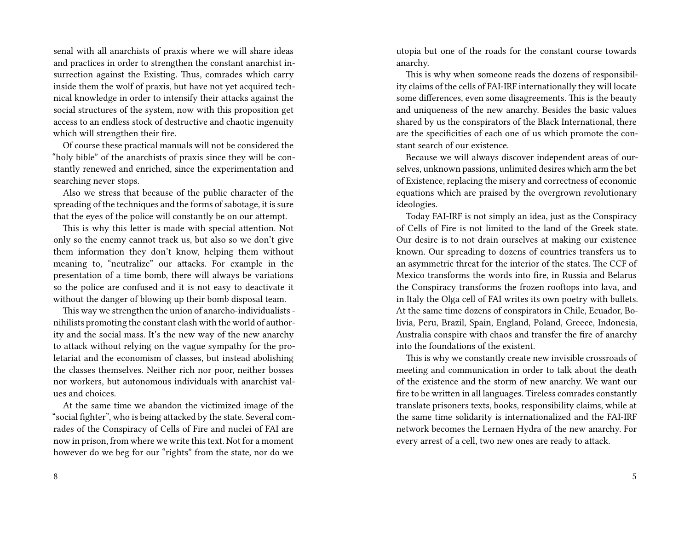senal with all anarchists of praxis where we will share ideas and practices in order to strengthen the constant anarchist insurrection against the Existing. Thus, comrades which carry inside them the wolf of praxis, but have not yet acquired technical knowledge in order to intensify their attacks against the social structures of the system, now with this proposition get access to an endless stock of destructive and chaotic ingenuity which will strengthen their fire.

Of course these practical manuals will not be considered the "holy bible" of the anarchists of praxis since they will be constantly renewed and enriched, since the experimentation and searching never stops.

Also we stress that because of the public character of the spreading of the techniques and the forms of sabotage, it is sure that the eyes of the police will constantly be on our attempt.

This is why this letter is made with special attention. Not only so the enemy cannot track us, but also so we don't give them information they don't know, helping them without meaning to, "neutralize" our attacks. For example in the presentation of a time bomb, there will always be variations so the police are confused and it is not easy to deactivate it without the danger of blowing up their bomb disposal team.

This way we strengthen the union of anarcho-individualists nihilists promoting the constant clash with the world of authority and the social mass. It's the new way of the new anarchy to attack without relying on the vague sympathy for the proletariat and the economism of classes, but instead abolishing the classes themselves. Neither rich nor poor, neither bosses nor workers, but autonomous individuals with anarchist values and choices.

At the same time we abandon the victimized image of the "social fighter", who is being attacked by the state. Several comrades of the Conspiracy of Cells of Fire and nuclei of FAI are now in prison, from where we write this text. Not for a moment however do we beg for our "rights" from the state, nor do we

utopia but one of the roads for the constant course towards anarchy.

This is why when someone reads the dozens of responsibility claims of the cells of FAI-IRF internationally they will locate some differences, even some disagreements. This is the beauty and uniqueness of the new anarchy. Besides the basic values shared by us the conspirators of the Black International, there are the specificities of each one of us which promote the constant search of our existence.

Because we will always discover independent areas of ourselves, unknown passions, unlimited desires which arm the bet of Existence, replacing the misery and correctness of economic equations which are praised by the overgrown revolutionary ideologies.

Today FAI-IRF is not simply an idea, just as the Conspiracy of Cells of Fire is not limited to the land of the Greek state. Our desire is to not drain ourselves at making our existence known. Our spreading to dozens of countries transfers us to an asymmetric threat for the interior of the states. The CCF of Mexico transforms the words into fire, in Russia and Belarus the Conspiracy transforms the frozen rooftops into lava, and in Italy the Olga cell of FAI writes its own poetry with bullets. At the same time dozens of conspirators in Chile, Ecuador, Bolivia, Peru, Brazil, Spain, England, Poland, Greece, Indonesia, Australia conspire with chaos and transfer the fire of anarchy into the foundations of the existent.

This is why we constantly create new invisible crossroads of meeting and communication in order to talk about the death of the existence and the storm of new anarchy. We want our fire to be written in all languages. Tireless comrades constantly translate prisoners texts, books, responsibility claims, while at the same time solidarity is internationalized and the FAI-IRF network becomes the Lernaen Hydra of the new anarchy. For every arrest of a cell, two new ones are ready to attack.